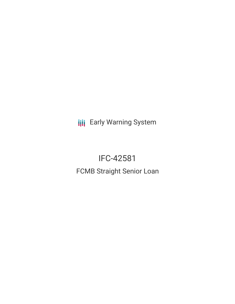**III** Early Warning System

# IFC-42581 FCMB Straight Senior Loan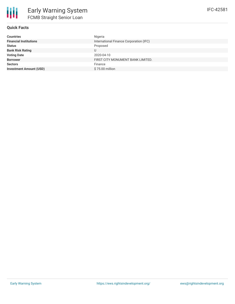

## **Quick Facts**

| <b>Countries</b>               | Nigeria                                 |
|--------------------------------|-----------------------------------------|
| <b>Financial Institutions</b>  | International Finance Corporation (IFC) |
| <b>Status</b>                  | Proposed                                |
| <b>Bank Risk Rating</b>        | U                                       |
| <b>Voting Date</b>             | 2020-04-10                              |
| <b>Borrower</b>                | FIRST CITY MONUMENT BANK LIMITED.       |
| <b>Sectors</b>                 | Finance                                 |
| <b>Investment Amount (USD)</b> | \$75,00 million                         |
|                                |                                         |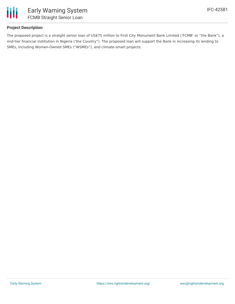

## **Project Description**

The proposed project is a straight senior loan of US\$75 million to First City Monument Bank Limited ('FCMB' or "the Bank"), a mid-tier financial institution in Nigeria ('the Country"). The proposed loan will support the Bank in increasing its lending to SMEs, including Women-Owned SMEs ("WSMEs"), and climate-smart projects.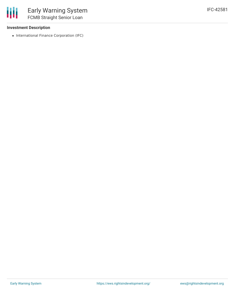### **Investment Description**

冊

• International Finance Corporation (IFC)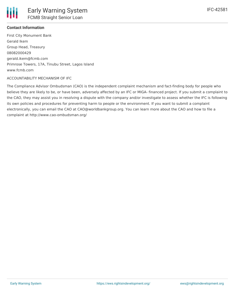

### **Contact Information**

First City Monument Bank Gerald Ikem Group Head, Treasury 08082000429 gerald.ikem@fcmb.com Primrose Towers, 17A, Tinubu Street, Lagos Island www.fcmb.com

#### ACCOUNTABILITY MECHANISM OF IFC

The Compliance Advisor Ombudsman (CAO) is the independent complaint mechanism and fact-finding body for people who believe they are likely to be, or have been, adversely affected by an IFC or MIGA- financed project. If you submit a complaint to the CAO, they may assist you in resolving a dispute with the company and/or investigate to assess whether the IFC is following its own policies and procedures for preventing harm to people or the environment. If you want to submit a complaint electronically, you can email the CAO at CAO@worldbankgroup.org. You can learn more about the CAO and how to file a complaint at http://www.cao-ombudsman.org/